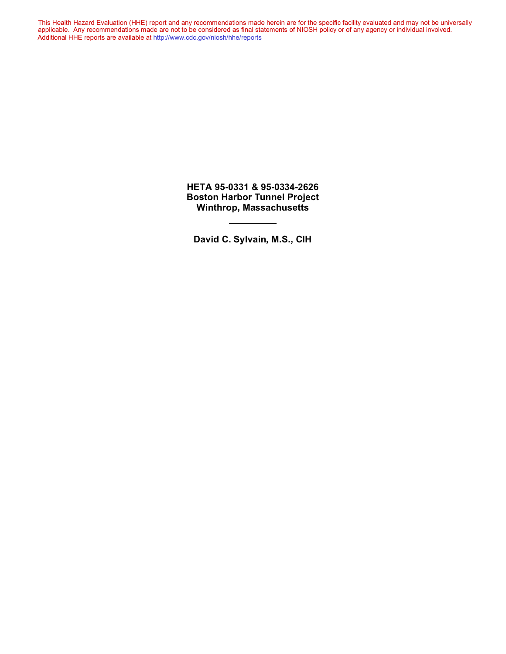This Health Hazard Evaluation (HHE) report and any recommendations made herein are for the specific facility evaluated and may not be universally applicable. Any recommendations made are not to be considered as final statements of NIOSH policy or of any agency or individual involved. Additional HHE reports are available at <http://www.cdc.gov/niosh/hhe/reports> Additional HHE reports are available at <http://www.cdc.gov/niosh/hhe/reports>This Health Hazard Evaluation (HHE) report and any recommendations made herein are for the specific facility evaluated and may not be universally applicable. Any recommendations made are not to be considered as final statements of NIOSH policy or of any agency or individual involved

> **HETA 95-0331 & 95-0334-2626 Boston Harbor Tunnel Project Winthrop, Massachusetts**

**David C. Sylvain, M.S., CIH**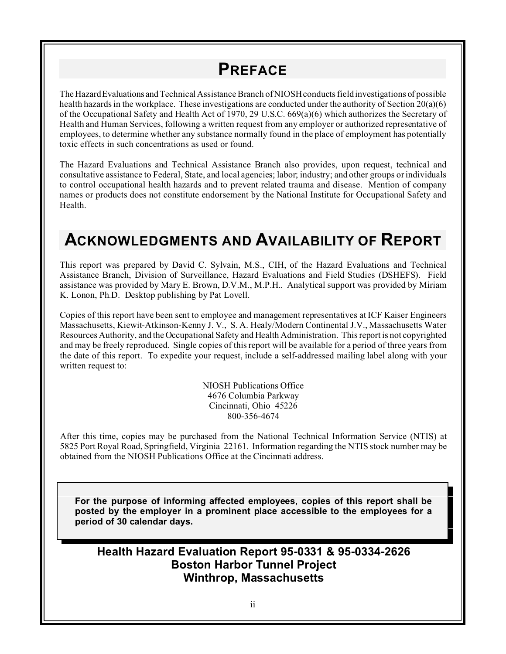# **PREFACE**

The Hazard Evaluations and Technical Assistance Branch of NIOSH conducts field investigations of possible health hazards in the workplace. These investigations are conducted under the authority of Section 20(a)(6) of the Occupational Safety and Health Act of 1970, 29 U.S.C. 669(a)(6) which authorizes the Secretary of Health and Human Services, following a written request from any employer or authorized representative of employees, to determine whether any substance normally found in the place of employment has potentially toxic effects in such concentrations as used or found.

The Hazard Evaluations and Technical Assistance Branch also provides, upon request, technical and consultative assistance to Federal, State, and local agencies; labor; industry; and other groups or individuals to control occupational health hazards and to prevent related trauma and disease. Mention of company names or products does not constitute endorsement by the National Institute for Occupational Safety and Health.

# **ACKNOWLEDGMENTS AND AVAILABILITY OF REPORT**

This report was prepared by David C. Sylvain, M.S., CIH, of the Hazard Evaluations and Technical Assistance Branch, Division of Surveillance, Hazard Evaluations and Field Studies (DSHEFS). Field assistance was provided by Mary E. Brown, D.V.M., M.P.H.. Analytical support was provided by Miriam K. Lonon, Ph.D. Desktop publishing by Pat Lovell.

Copies of this report have been sent to employee and management representatives at ICF Kaiser Engineers Massachusetts, Kiewit-Atkinson-Kenny J. V., S. A. Healy/Modern Continental J.V., Massachusetts Water Resources Authority, and the Occupational Safety and Health Administration. This report is not copyrighted and may be freely reproduced. Single copies of this report will be available for a period of three years from the date of this report. To expedite your request, include a self-addressed mailing label along with your written request to:

> NIOSH Publications Office 4676 Columbia Parkway Cincinnati, Ohio 45226 800-356-4674

After this time, copies may be purchased from the National Technical Information Service (NTIS) at 5825 Port Royal Road, Springfield, Virginia 22161. Information regarding the NTIS stock number may be obtained from the NIOSH Publications Office at the Cincinnati address.

**For the purpose of informing affected employees, copies of this report shall be posted by the employer in a prominent place accessible to the employees for a period of 30 calendar days.**

### **Health Hazard Evaluation Report 95-0331 & 95-0334-2626 Boston Harbor Tunnel Project Winthrop, Massachusetts**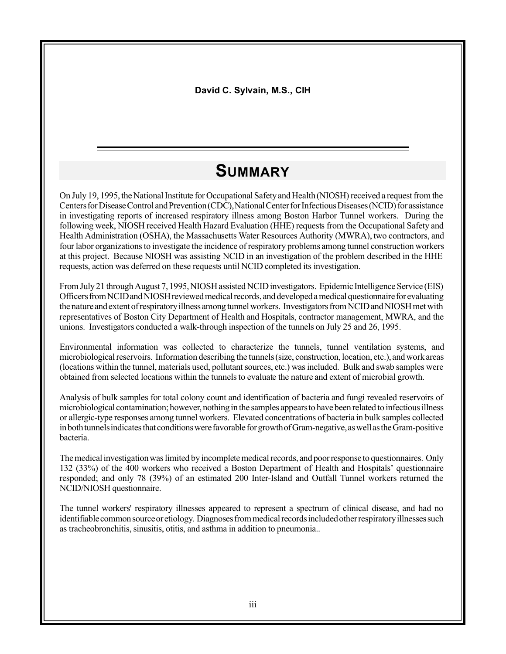**David C. Sylvain, M.S., CIH**

# **SUMMARY**

On July 19, 1995, the National Institute for Occupational Safety and Health (NIOSH) received a request from the Centers for Disease Control and Prevention (CDC), National Center for Infectious Diseases (NCID) for assistance in investigating reports of increased respiratory illness among Boston Harbor Tunnel workers. During the following week, NIOSH received Health Hazard Evaluation (HHE) requests from the Occupational Safety and Health Administration (OSHA), the Massachusetts Water Resources Authority (MWRA), two contractors, and four labor organizationsto investigate the incidence of respiratory problems among tunnel construction workers at this project. Because NIOSH was assisting NCID in an investigation of the problem described in the HHE requests, action was deferred on these requests until NCID completed its investigation.

From July 21 through August 7, 1995, NIOSH assisted NCID investigators. Epidemic Intelligence Service (EIS) Officers from NCID and NIOSH reviewed medical records, and developed a medical questionnaire for evaluating the nature and extent of respiratory illness among tunnel workers. Investigators from NCID and NIOSH met with representatives of Boston City Department of Health and Hospitals, contractor management, MWRA, and the unions. Investigators conducted a walk-through inspection of the tunnels on July 25 and 26, 1995.

Environmental information was collected to characterize the tunnels, tunnel ventilation systems, and microbiological reservoirs. Information describing the tunnels (size, construction, location, etc.), and work areas (locations within the tunnel, materials used, pollutant sources, etc.) was included. Bulk and swab samples were obtained from selected locations within the tunnels to evaluate the nature and extent of microbial growth.

Analysis of bulk samples for total colony count and identification of bacteria and fungi revealed reservoirs of microbiological contamination; however, nothingin the samples appearsto have been related to infectiousillness or allergic-type responses among tunnel workers. Elevated concentrations of bacteria in bulk samples collected in both tunnels indicates that conditions were favorable for growth of Gram-negative, as well as the Gram-positive bacteria.

The medical investigation was limited by incomplete medical records, and poor response to questionnaires. Only 132 (33%) of the 400 workers who received a Boston Department of Health and Hospitals' questionnaire responded; and only 78 (39%) of an estimated 200 Inter-Island and Outfall Tunnel workers returned the NCID/NIOSH questionnaire.

The tunnel workers' respiratory illnesses appeared to represent a spectrum of clinical disease, and had no identifiable common source or etiology. Diagnoses from medical records included other respiratory illnesses such as tracheobronchitis, sinusitis, otitis, and asthma in addition to pneumonia..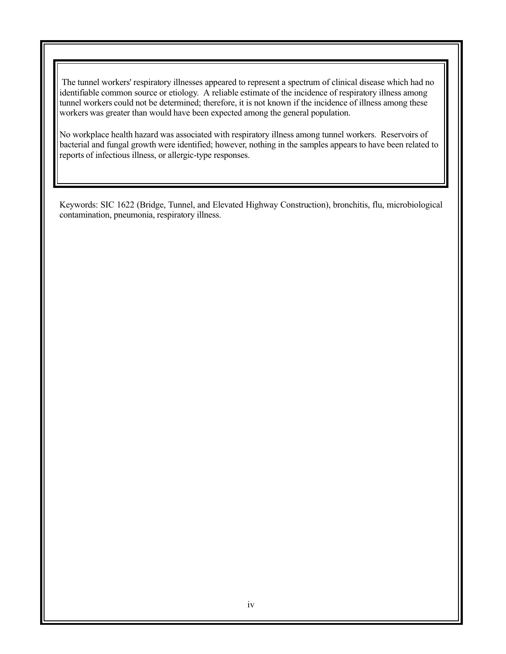The tunnel workers' respiratory illnesses appeared to represent a spectrum of clinical disease which had no identifiable common source or etiology. A reliable estimate of the incidence of respiratory illness among tunnel workers could not be determined; therefore, it is not known if the incidence of illness among these workers was greater than would have been expected among the general population.

No workplace health hazard was associated with respiratory illness among tunnel workers. Reservoirs of bacterial and fungal growth were identified; however, nothing in the samples appears to have been related to reports of infectious illness, or allergic-type responses.

Keywords: SIC 1622 (Bridge, Tunnel, and Elevated Highway Construction), bronchitis, flu, microbiological contamination, pneumonia, respiratory illness.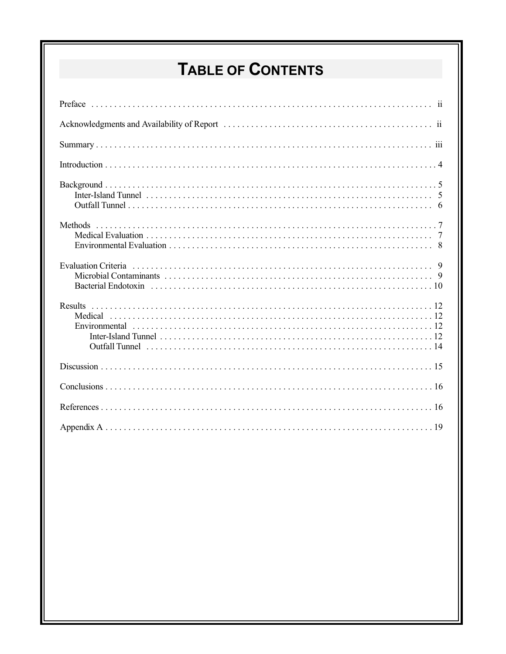# **TABLE OF CONTENTS**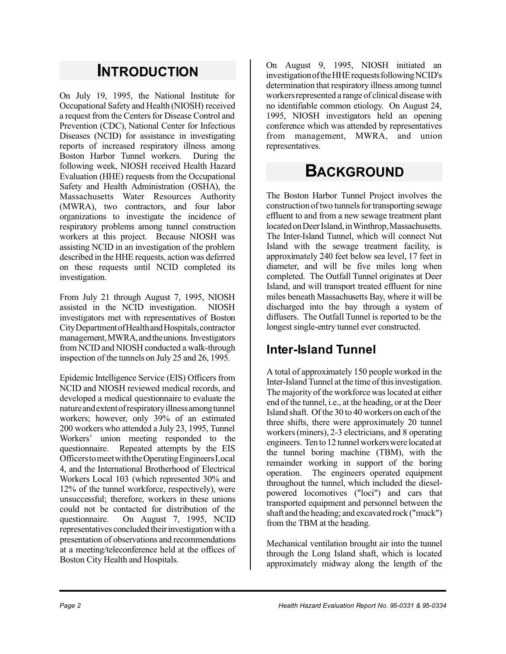# **INTRODUCTION**

On July 19, 1995, the National Institute for Occupational Safety and Health (NIOSH) received a request from the Centersfor Disease Control and Prevention (CDC), National Center for Infectious Diseases (NCID) for assistance in investigating reports of increased respiratory illness among Boston Harbor Tunnel workers. During the following week, NIOSH received Health Hazard Evaluation (HHE) requests from the Occupational Safety and Health Administration (OSHA), the Massachusetts Water Resources Authority (MWRA), two contractors, and four labor organizations to investigate the incidence of respiratory problems among tunnel construction workers at this project. Because NIOSH was assisting NCID in an investigation of the problem described in the HHE requests, action was deferred on these requests until NCID completed its investigation.

From July 21 through August 7, 1995, NIOSH assisted in the NCID investigation. NIOSH investigators met with representatives of Boston CityDepartmentofHealthandHospitals,contractor management,MWRA,andtheunions. Investigators from NCID and NIOSH conducted a walk-through inspection of the tunnels on July 25 and 26, 1995.

Epidemic Intelligence Service (EIS) Officers from NCID and NIOSH reviewed medical records, and developed a medical questionnaire to evaluate the natureandextentofrespiratoryillnessamongtunnel workers; however, only 39% of an estimated 200 workers who attended a July 23, 1995, Tunnel Workers' union meeting responded to the questionnaire. Repeated attempts by the EIS OfficerstomeetwiththeOperatingEngineersLocal 4, and the International Brotherhood of Electrical Workers Local 103 (which represented 30% and 12% of the tunnel workforce, respectively), were unsuccessful; therefore, workers in these unions could not be contacted for distribution of the questionnaire. On August 7, 1995, NCID representatives concluded their investigation with a presentation of observations and recommendations at a meeting/teleconference held at the offices of Boston City Health and Hospitals.

On August 9, 1995, NIOSH initiated an investigationoftheHHErequestsfollowingNCID's determination that respiratory illness among tunnel workersrepresented a range of clinical diseasewith no identifiable common etiology. On August 24, 1995, NIOSH investigators held an opening conference which was attended by representatives from management, MWRA, and union representatives.

# **BACKGROUND**

The Boston Harbor Tunnel Project involves the construction of two tunnels for transporting sewage effluent to and from a new sewage treatment plant located on Deer Island, in Winthrop, Massachusetts. The Inter-Island Tunnel, which will connect Nut Island with the sewage treatment facility, is approximately 240 feet below sea level, 17 feet in diameter, and will be five miles long when completed. The Outfall Tunnel originates at Deer Island, and will transport treated effluent for nine miles beneath Massachusetts Bay, where it will be discharged into the bay through a system of diffusers. The Outfall Tunnel is reported to be the longest single-entry tunnel ever constructed.

### **Inter-Island Tunnel**

A total of approximately 150 people worked in the Inter-Island Tunnel at the time of this investigation. The majority of the workforce was located at either end of the tunnel, i.e., at the heading, or at the Deer Island shaft. Of the 30 to 40 workers on each of the three shifts, there were approximately 20 tunnel workers(miners), 2-3 electricians, and 8 operating engineers. Ten to 12 tunnelworkerswere located at the tunnel boring machine (TBM), with the remainder working in support of the boring operation. The engineers operated equipment throughout the tunnel, which included the dieselpowered locomotives ("loci") and cars that transported equipment and personnel between the shaft and the heading; and excavated rock ("muck") from the TBM at the heading.

Mechanical ventilation brought air into the tunnel through the Long Island shaft, which is located approximately midway along the length of the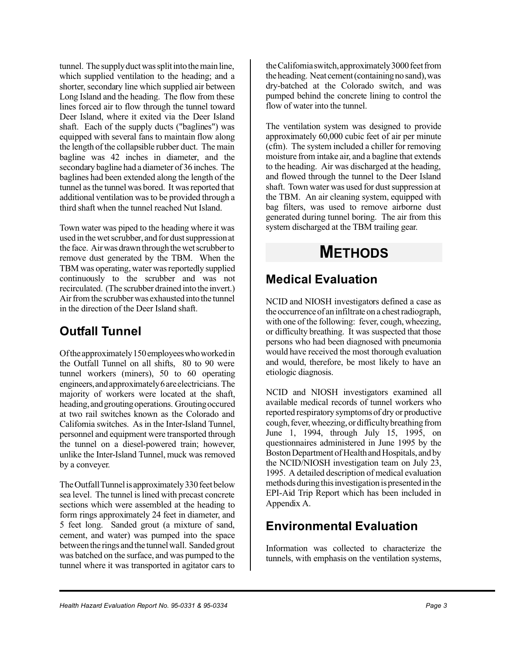tunnel. The supply duct was split into the main line, which supplied ventilation to the heading; and a shorter, secondary line which supplied air between Long Island and the heading. The flow from these lines forced air to flow through the tunnel toward Deer Island, where it exited via the Deer Island shaft. Each of the supply ducts ("baglines") was equipped with several fans to maintain flow along the length of the collapsible rubber duct. The main bagline was 42 inches in diameter, and the secondary bagline had a diameter of 36 inches. The baglines had been extended along the length of the tunnel as the tunnel was bored. It was reported that additional ventilation wasto be provided through a third shaft when the tunnel reached Nut Island.

Town water was piped to the heading where it was used in the wet scrubber, and for dust suppression at the face. Air was drawn through the wet scrubber to remove dust generated by the TBM. When the TBM was operating, water was reportedly supplied continuously to the scrubber and was not recirculated. (The scrubber drained into the invert.) Air from the scrubber was exhausted into the tunnel in the direction of the Deer Island shaft.

### **Outfall Tunnel**

Of the approximately 150 employees who worked in the Outfall Tunnel on all shifts, 80 to 90 were tunnel workers (miners), 50 to 60 operating engineers,andapproximately6areelectricians. The majority of workers were located at the shaft, heading, and grouting operations. Grouting occured at two rail switches known as the Colorado and California switches. As in the Inter-Island Tunnel, personnel and equipment were transported through the tunnel on a diesel-powered train; however, unlike the Inter-Island Tunnel, muck was removed by a conveyer.

The Outfall Tunnel is approximately 330 feet below sea level. The tunnel is lined with precast concrete sections which were assembled at the heading to form rings approximately 24 feet in diameter, and 5 feet long. Sanded grout (a mixture of sand, cement, and water) was pumped into the space between the rings and the tunnel wall. Sanded grout was batched on the surface, and was pumped to the tunnel where it was transported in agitator cars to

the California switch, approximately 3000 feet from the heading. Neat cement (containing no sand), was dry-batched at the Colorado switch, and was pumped behind the concrete lining to control the flow of water into the tunnel.

The ventilation system was designed to provide approximately 60,000 cubic feet of air per minute (cfm). The system included a chiller for removing moisture from intake air, and a bagline that extends to the heading. Air was discharged at the heading, and flowed through the tunnel to the Deer Island shaft. Town water was used for dust suppression at the TBM. An air cleaning system, equipped with bag filters, was used to remove airborne dust generated during tunnel boring. The air from this system discharged at the TBM trailing gear.

# **METHODS**

### **Medical Evaluation**

NCID and NIOSH investigators defined a case as the occurrence of an infiltrate on a chest radiograph, with one of the following: fever, cough, wheezing, or difficulty breathing. It was suspected that those persons who had been diagnosed with pneumonia would have received the most thorough evaluation and would, therefore, be most likely to have an etiologic diagnosis.

NCID and NIOSH investigators examined all available medical records of tunnel workers who reported respiratory symptomsof dry or productive cough, fever, wheezing, or difficulty breathing from June 1, 1994, through July 15, 1995, on questionnaires administered in June 1995 by the Boston Department of Health and Hospitals, and by the NCID/NIOSH investigation team on July 23, 1995. A detailed description of medical evaluation methods during this investigation is presented in the EPI-Aid Trip Report which has been included in Appendix A.

### **Environmental Evaluation**

Information was collected to characterize the tunnels, with emphasis on the ventilation systems,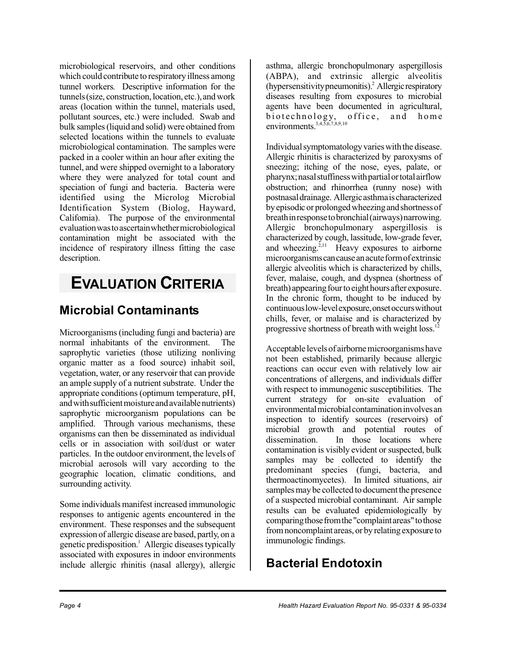microbiological reservoirs, and other conditions which could contribute to respiratory illness among tunnel workers. Descriptive information for the tunnels (size, construction, location, etc.), and work areas (location within the tunnel, materials used, pollutant sources, etc.) were included. Swab and bulk samples(liquid and solid) were obtained from selected locations within the tunnels to evaluate microbiological contamination. The samples were packed in a cooler within an hour after exiting the tunnel, and were shipped overnight to a laboratory where they were analyzed for total count and speciation of fungi and bacteria. Bacteria were identified using the Microlog Microbial Identification System (Biolog, Hayward, California). The purpose of the environmental evaluationwastoascertainwhethermicrobiological contamination might be associated with the incidence of respiratory illness fitting the case description.

# **EVALUATION CRITERIA**

### **Microbial Contaminants**

Microorganisms(including fungi and bacteria) are normal inhabitants of the environment. The saprophytic varieties (those utilizing nonliving organic matter as a food source) inhabit soil, vegetation, water, or any reservoir that can provide an ample supply of a nutrient substrate. Under the appropriate conditions (optimum temperature, pH, and with sufficient moisture and available nutrients) saprophytic microorganism populations can be amplified. Through various mechanisms, these organisms can then be disseminated as individual cells or in association with soil/dust or water particles. In the outdoor environment, the levels of microbial aerosols will vary according to the geographic location, climatic conditions, and surrounding activity.

Some individuals manifest increased immunologic responses to antigenic agents encountered in the environment. These responses and the subsequent expression of allergic disease are based, partly, on a genetic predisposition.<sup>1</sup> Allergic diseases typically associated with exposures in indoor environments include allergic rhinitis (nasal allergy), allergic

asthma, allergic bronchopulmonary aspergillosis (ABPA), and extrinsic allergic alveolitis (hypersensitivity pneumonitis).<sup>2</sup> Allergic respiratory diseases resulting from exposures to microbial agents have been documented in agricultural, biote chnology, o ffice, and home environments. $3,4,5,6,7,8,9,10$ 

Individual symptomatology varies with the disease. Allergic rhinitis is characterized by paroxysms of sneezing; itching of the nose, eyes, palate, or pharynx; nasal stuffiness with partial or total airflow obstruction; and rhinorrhea (runny nose) with postnasaldrainage. Allergicasthmaischaracterized byepisodic or prolongedwheezingandshortnessof breathinresponsetobronchial(airways)narrowing. Allergic bronchopulmonary aspergillosis is characterized by cough, lassitude, low-grade fever, and wheezing.<sup>2,11</sup> Heavy exposures to airborne microorganismscancauseanacuteformofextrinsic allergic alveolitis which is characterized by chills, fever, malaise, cough, and dyspnea (shortness of breath) appearing four to eight hours after exposure. In the chronic form, thought to be induced by continuouslow-levelexposure,onsetoccurswithout chills, fever, or malaise and is characterized by progressive shortness of breath with weight loss.<sup>12</sup>

Acceptable levels of airborne microorganisms have not been established, primarily because allergic reactions can occur even with relatively low air concentrations of allergens, and individuals differ with respect to immunogenic susceptibilities. The current strategy for on-site evaluation of environmental microbial contamination involves an inspection to identify sources (reservoirs) of microbial growth and potential routes of dissemination. In those locations where contamination is visibly evident or suspected, bulk samples may be collected to identify the predominant species (fungi, bacteria, and thermoactinomycetes). In limited situations, air samples may be collected to document the presence of a suspected microbial contaminant. Air sample results can be evaluated epidemiologically by comparing those from the "complaint areas" to those fromnoncomplaint areas, or by relating exposure to immunologic findings.

### **Bacterial Endotoxin**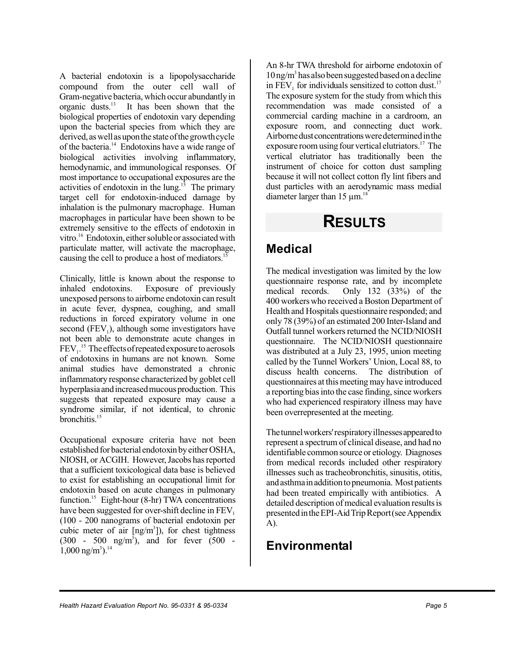A bacterial endotoxin is a lipopolysaccharide compound from the outer cell wall of Gram-negative bacteria,which occur abundantly in organic dusts.<sup>13</sup> It has been shown that the biological properties of endotoxin vary depending upon the bacterial species from which they are derived, aswellasuponthe stateofthegrowthcycle of the bacteria.<sup>14</sup> Endotoxins have a wide range of biological activities involving inflammatory, hemodynamic, and immunological responses. Of most importance to occupational exposures are the activities of endotoxin in the lung.<sup>15</sup> The primary target cell for endotoxin-induced damage by inhalation is the pulmonary macrophage. Human macrophages in particular have been shown to be extremely sensitive to the effects of endotoxin in vitro.<sup>16</sup> Endotoxin, either soluble or associated with particulate matter, will activate the macrophage, causing the cell to produce a host of mediators.<sup>15</sup>

Clinically, little is known about the response to inhaled endotoxins. Exposure of previously unexposed personsto airborne endotoxin can result in acute fever, dyspnea, coughing, and small reductions in forced expiratory volume in one second  $(FEV<sub>1</sub>)$ , although some investigators have not been able to demonstrate acute changes in  $\text{FEV}_1$ .<sup>15</sup> The effects of repeated exposure to aerosols of endotoxins in humans are not known. Some animal studies have demonstrated a chronic inflammatory response characterized by goblet cell hyperplasia and increased mucous production. This suggests that repeated exposure may cause a syndrome similar, if not identical, to chronic bronchitis.<sup>15</sup>

Occupational exposure criteria have not been established for bacterial endotoxin by either OSHA, NIOSH, or ACGIH. However, Jacobs has reported that a sufficient toxicological data base is believed to exist for establishing an occupational limit for endotoxin based on acute changes in pulmonary function.<sup>15</sup> Eight-hour (8-hr) TWA concentrations have been suggested for over-shift decline in FEV. (100 - 200 nanograms of bacterial endotoxin per cubic meter of air  $[ng/m<sup>3</sup>]$ ), for chest tightness  $(300 - 500 \text{ ng/m}^3)$ , and for fever  $(500 1,000 \text{ ng/m}^3$ .<sup>14</sup>

An 8-hr TWA threshold for airborne endotoxin of 10 ng/m<sup>3</sup> has also been suggested based on a decline in  $FEV<sub>1</sub>$  for individuals sensitized to cotton dust.<sup>17</sup> The exposure system for the study from which this recommendation was made consisted of a commercial carding machine in a cardroom, an exposure room, and connecting duct work. Airborne dust concentrations were determined in the exposure room using four vertical elutriators.<sup>17</sup> The vertical elutriator has traditionally been the instrument of choice for cotton dust sampling because it will not collect cotton fly lint fibers and dust particles with an aerodynamic mass medial diameter larger than  $15 \mu m$ <sup>18</sup>

# **RESULTS**

### **Medical**

The medical investigation was limited by the low questionnaire response rate, and by incomplete medical records. Only 132 (33%) of the Only 132  $(33%)$  of the 400 workerswho received a Boston Department of Health and Hospitals questionnaire responded; and only 78 (39%) of an estimated 200 Inter-Island and Outfall tunnel workers returned the NCID/NIOSH questionnaire. The NCID/NIOSH questionnaire was distributed at a July 23, 1995, union meeting called by the Tunnel Workers' Union, Local 88, to discuss health concerns. The distribution of questionnaires at this meeting may have introduced a reporting bias into the case finding, since workers who had experienced respiratory illness may have been overrepresented at the meeting.

Thetunnelworkers'respiratoryillnessesappearedto represent a spectrum of clinical disease, and had no identifiable common source or etiology. Diagnoses from medical records included other respiratory illnesses such as tracheobronchitis, sinusitis, otitis, andasthmainadditiontopneumonia. Mostpatients had been treated empirically with antibiotics. A detailed description of medical evaluation results is presented in the EPI-Aid Trip Report (see Appendix A).

### **Environmental**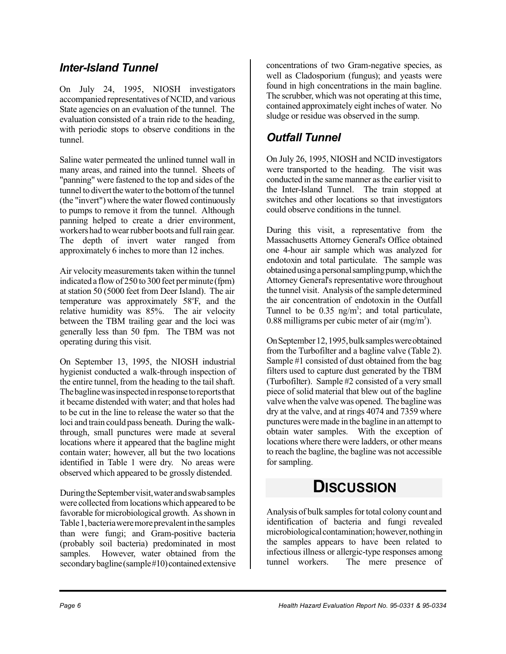### *Inter-Island Tunnel*

On July 24, 1995, NIOSH investigators accompanied representatives of NCID, and various State agencies on an evaluation of the tunnel. The evaluation consisted of a train ride to the heading, with periodic stops to observe conditions in the tunnel.

Saline water permeated the unlined tunnel wall in many areas, and rained into the tunnel. Sheets of "panning" were fastened to the top and sides of the tunnel to divert the water to the bottom of the tunnel (the "invert") where the water flowed continuously to pumps to remove it from the tunnel. Although panning helped to create a drier environment, workers had to wear rubber boots and full rain gear. The depth of invert water ranged from approximately 6 inches to more than 12 inches.

Air velocitymeasurements taken within the tunnel indicated a flow of 250 to 300 feet per minute (fpm) at station 50 (5000 feet from Deer Island). The air temperature was approximately 58°F, and the relative humidity was 85%. The air velocity between the TBM trailing gear and the loci was generally less than 50 fpm. The TBM was not operating during this visit.

On September 13, 1995, the NIOSH industrial hygienist conducted a walk-through inspection of the entire tunnel, from the heading to the tail shaft. Thebaglinewasinspectedinresponsetoreportsthat it became distended with water; and that holes had to be cut in the line to release the water so that the loci and train could pass beneath. During the walkthrough, small punctures were made at several locations where it appeared that the bagline might contain water; however, all but the two locations identified in Table 1 were dry. No areas were observed which appeared to be grossly distended.

During the September visit, water and swab samples were collected from locations which appeared to be favorable for microbiological growth. Asshown in Table 1, bacteria were more prevalent in the samples than were fungi; and Gram-positive bacteria (probably soil bacteria) predominated in most samples. However, water obtained from the secondary bagline (sample#10) contained extensive concentrations of two Gram-negative species, as well as Cladosporium (fungus); and yeasts were found in high concentrations in the main bagline. The scrubber, which was not operating at this time, contained approximately eight inches of water. No sludge or residue was observed in the sump.

### *Outfall Tunnel*

On July 26, 1995, NIOSH and NCID investigators were transported to the heading. The visit was conducted in the samemanner asthe earlier visit to the Inter-Island Tunnel. The train stopped at switches and other locations so that investigators could observe conditions in the tunnel.

During this visit, a representative from the Massachusetts Attorney General's Office obtained one 4-hour air sample which was analyzed for endotoxin and total particulate. The sample was obtained using a personal sampling pump, which the Attorney General's representative wore throughout the tunnel visit. Analysis of the sample determined the air concentration of endotoxin in the Outfall Tunnel to be  $0.35$  ng/m<sup>3</sup>; and total particulate, 0.88 milligrams per cubic meter of air  $(mg/m<sup>3</sup>)$ .

OnSeptember12,1995,bulksampleswereobtained from the Turbofilter and a bagline valve (Table 2). Sample #1 consisted of dust obtained from the bag filters used to capture dust generated by the TBM (Turbofilter). Sample #2 consisted of a very small piece of solid material that blew out of the bagline valve when the valve was opened. The baglinewas dry at the valve, and at rings 4074 and 7359 where punctures weremade in the bagline in an attempt to obtain water samples. With the exception of locations where there were ladders, or other means to reach the bagline, the bagline was not accessible for sampling.

### **DISCUSSION**

Analysis of bulk samples for total colony count and identification of bacteria and fungi revealed microbiological contamination; however, nothing in the samples appears to have been related to infectious illness or allergic-type responses among tunnel workers. The mere presence of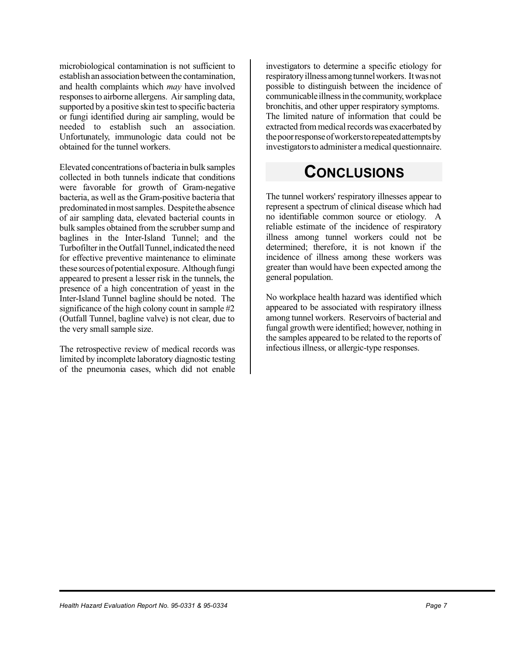microbiological contamination is not sufficient to establish an association between the contamination. and health complaints which *may* have involved responses to airborne allergens. Air sampling data, supported by a positive skin test to specific bacteria or fungi identified during air sampling, would be needed to establish such an association. Unfortunately, immunologic data could not be obtained for the tunnel workers.

Elevated concentrations of bacteriain bulk samples collected in both tunnels indicate that conditions were favorable for growth of Gram-negative bacteria, as well as the Gram-positive bacteria that predominatedinmostsamples. Despitethe absence of air sampling data, elevated bacterial counts in bulk samples obtained from the scrubber sump and baglines in the Inter-Island Tunnel; and the Turbofilter in the Outfall Tunnel, indicated the need for effective preventive maintenance to eliminate these sources of potential exposure. Although fungi appeared to present a lesser risk in the tunnels, the presence of a high concentration of yeast in the Inter-Island Tunnel bagline should be noted. The significance of the high colony count in sample #2 (Outfall Tunnel, bagline valve) is not clear, due to the very small sample size.

The retrospective review of medical records was limited by incomplete laboratory diagnostic testing of the pneumonia cases, which did not enable investigators to determine a specific etiology for respiratoryillnessamongtunnelworkers. Itwasnot possible to distinguish between the incidence of communicable illness in the community, workplace bronchitis, and other upper respiratory symptoms. The limited nature of information that could be extracted from medical records was exacerbated by thepoorresponseofworkerstorepeatedattemptsby investigators to administer a medical questionnaire.

# **CONCLUSIONS**

The tunnel workers' respiratory illnesses appear to represent a spectrum of clinical disease which had no identifiable common source or etiology. A reliable estimate of the incidence of respiratory illness among tunnel workers could not be determined; therefore, it is not known if the incidence of illness among these workers was greater than would have been expected among the general population.

No workplace health hazard was identified which appeared to be associated with respiratory illness among tunnel workers. Reservoirs of bacterial and fungal growth were identified; however, nothing in the samples appeared to be related to the reports of infectious illness, or allergic-type responses.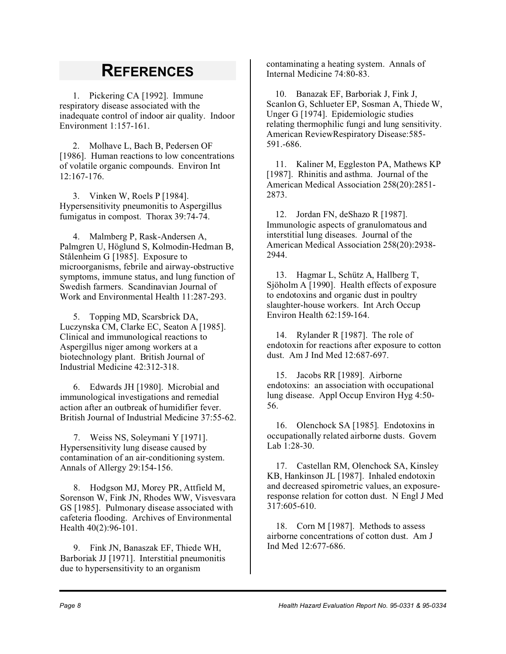# **REFERENCES**

1. Pickering CA [1992]. Immune respiratory disease associated with the inadequate control of indoor air quality. Indoor Environment 1:157-161.

2. Molhave L, Bach B, Pedersen OF [1986]. Human reactions to low concentrations of volatile organic compounds. Environ Int 12:167-176.

3. Vinken W, Roels P [1984]. Hypersensitivity pneumonitis to Aspergillus fumigatus in compost. Thorax 39:74-74.

4. Malmberg P, Rask-Andersen A, Palmgren U, Höglund S, Kolmodin-Hedman B, Stålenheim G [1985]. Exposure to microorganisms, febrile and airway-obstructive symptoms, immune status, and lung function of Swedish farmers. Scandinavian Journal of Work and Environmental Health 11:287-293.

5. Topping MD, Scarsbrick DA, Luczynska CM, Clarke EC, Seaton A [1985]. Clinical and immunological reactions to Aspergillus niger among workers at a biotechnology plant. British Journal of Industrial Medicine 42:312-318.

6. Edwards JH [1980]. Microbial and immunological investigations and remedial action after an outbreak of humidifier fever. British Journal of Industrial Medicine 37:55-62.

7. Weiss NS, Soleymani Y [1971]. Hypersensitivity lung disease caused by contamination of an air-conditioning system. Annals of Allergy 29:154-156.

8. Hodgson MJ, Morey PR, Attfield M, Sorenson W, Fink JN, Rhodes WW, Visvesvara GS [1985]. Pulmonary disease associated with cafeteria flooding. Archives of Environmental Health 40(2):96-101.

9. Fink JN, Banaszak EF, Thiede WH, Barboriak JJ [1971]. Interstitial pneumonitis due to hypersensitivity to an organism

contaminating a heating system. Annals of Internal Medicine 74:80-83.

10. Banazak EF, Barboriak J, Fink J, Scanlon G, Schlueter EP, Sosman A, Thiede W, Unger G [1974]. Epidemiologic studies relating thermophilic fungi and lung sensitivity. American ReviewRespiratory Disease:585- 591.-686.

11. Kaliner M, Eggleston PA, Mathews KP [1987]. Rhinitis and asthma. Journal of the American Medical Association 258(20):2851- 2873.

12. Jordan FN, deShazo R [1987]. Immunologic aspects of granulomatous and interstitial lung diseases. Journal of the American Medical Association 258(20):2938- 2944.

13. Hagmar L, Schütz A, Hallberg T, Sjöholm A [1990]. Health effects of exposure to endotoxins and organic dust in poultry slaughter-house workers. Int Arch Occup Environ Health 62:159-164.

14. Rylander R [1987]. The role of endotoxin for reactions after exposure to cotton dust. Am J Ind Med 12:687-697.

15. Jacobs RR [1989]. Airborne endotoxins: an association with occupational lung disease. Appl Occup Environ Hyg 4:50- 56.

16. Olenchock SA [1985]. Endotoxins in occupationally related airborne dusts. Govern Lab 1:28-30.

17. Castellan RM, Olenchock SA, Kinsley KB, Hankinson JL [1987]. Inhaled endotoxin and decreased spirometric values, an exposureresponse relation for cotton dust. N Engl J Med 317:605-610.

18. Corn M [1987]. Methods to assess airborne concentrations of cotton dust. Am J Ind Med 12:677-686.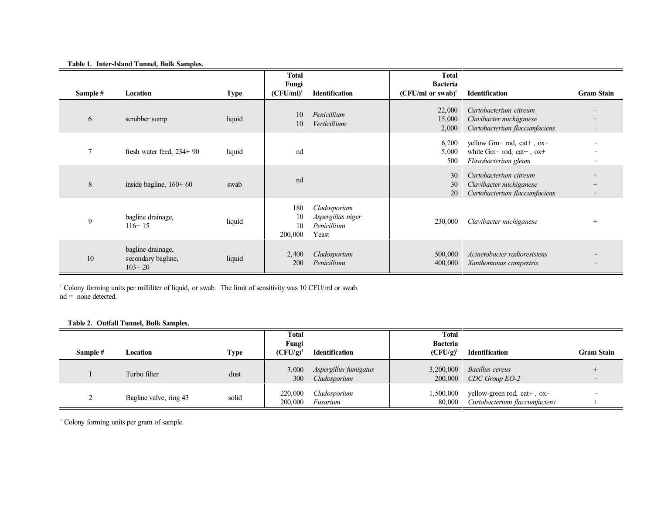|          |                                                     |             | <b>Total</b><br>Fungi      |                                                           | <b>Total</b><br><b>Bacteria</b> |                                                                                     |                            |
|----------|-----------------------------------------------------|-------------|----------------------------|-----------------------------------------------------------|---------------------------------|-------------------------------------------------------------------------------------|----------------------------|
| Sample # | Location                                            | <b>Type</b> | $(CFU/ml)^1$               | <b>Identification</b>                                     | $(CFU/ml \text{ or } swab)^1$   | <b>Identification</b>                                                               | <b>Gram Stain</b>          |
| 6        | scrubber sump                                       | liquid      | 10<br>10                   | Penicillium<br>Verticillium                               | 22,000<br>15,000<br>2,000       | Curtobacterium citreum<br>Clavibacter michiganese<br>Curtobacterium flaccumfaciens  | $^{+}$<br>$^{+}$           |
| 7        | fresh water feed, $234+90$                          | liquid      | nd                         |                                                           | 6,200<br>5,000<br>500           | yellow Gm-rod, cat+, ox-<br>white $Gm-rod$ , $cat+$ , $ox+$<br>Flavobacterium gleum |                            |
| 8        | inside bagline, $160+60$                            | swab        | nd                         |                                                           | 30<br>30<br>20                  | Curtobacterium citreum<br>Clavibacter michiganese<br>Curtobacterium flaccumfaciens  | $^{+}$<br>$^{+}$<br>$^{+}$ |
| 9        | bagline drainage,<br>$116+15$                       | liquid      | 180<br>10<br>10<br>200,000 | Cladosporium<br>Aspergillus niger<br>Penicillium<br>Yeast | 230,000                         | Clavibacter michiganese                                                             | $^{+}$                     |
| 10       | bagline drainage,<br>secondary bagline,<br>$103+20$ | liquid      | 2,400<br>200               | Cladosporium<br>Penicillium                               | 500,000<br>400,000              | Acinetobacter radioresistens<br>Xanthomonas campestris                              |                            |

#### **Table 1. Inter-Island Tunnel, Bulk Samples.**

<sup>1</sup> Colony forming units per milliliter of liquid, or swab. The limit of sensitivity was 10 CFU/ml or swab.  $nd = none detected.$ 

#### **Table 2. Outfall Tunnel, Bulk Samples.**

|          |                        |       | <b>Total</b><br>Fungi |                                       | <b>Total</b><br><b>Bacteria</b> |                                                              |                   |
|----------|------------------------|-------|-----------------------|---------------------------------------|---------------------------------|--------------------------------------------------------------|-------------------|
| Sample # | Location               | Type  | $(CFU/g)^{1}$         | <b>Identification</b>                 | $(CFU/g)^1$                     | <b>Identification</b>                                        | <b>Gram Stain</b> |
|          | Turbo filter           | dust  | 3,000<br>300          | Aspergillus fumigatus<br>Cladosporium | 3,200,000<br>200,000            | Bacillus cereus<br>CDC Group EO-2                            |                   |
| ∼        | Bagline valve, ring 43 | solid | 220,000<br>200,000    | Cladosporium<br>Fusarium              | 1,500,000<br>80,000             | yellow-green rod, cat+, ox-<br>Curtobacterium flaccumfaciens |                   |

<sup>1</sup> Colony forming units per gram of sample.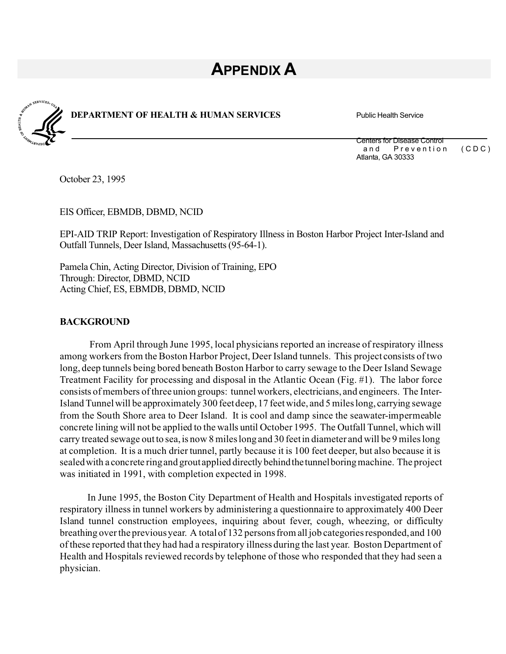# **APPENDIX A**



**DEPARTMENT OF HEALTH & HUMAN SERVICES** Public Health Service

Centers for Disease Control and Prevention (CDC) Atlanta, GA 30333

October 23, 1995

EIS Officer, EBMDB, DBMD, NCID

EPI-AID TRIP Report: Investigation of Respiratory Illness in Boston Harbor Project Inter-Island and Outfall Tunnels, Deer Island, Massachusetts(95-64-1).

Pamela Chin, Acting Director, Division of Training, EPO Through: Director, DBMD, NCID Acting Chief, ES, EBMDB, DBMD, NCID

#### **BACKGROUND**

From April through June 1995, local physicians reported an increase of respiratory illness among workers from the Boston Harbor Project, Deer Island tunnels. This project consists of two long, deep tunnels being bored beneath Boston Harbor to carry sewage to the Deer Island Sewage Treatment Facility for processing and disposal in the Atlantic Ocean (Fig. #1). The labor force consists of members ofthree union groups: tunnelworkers, electricians, and engineers. The Inter-Island Tunnelwill be approximately 300 feetdeep,17 feetwide, and 5 mileslong, carrying sewage from the South Shore area to Deer Island. It is cool and damp since the seawater-impermeable concrete lining will not be applied to the walls until October 1995. The Outfall Tunnel, which will carry treated sewage out to sea, is now 8 miles long and 30 feet in diameter and will be 9 miles long at completion. It is a much drier tunnel, partly because it is 100 feet deeper, but also because it is sealedwith a concrete ringand groutapplied directly behindthetunnelboringmachine. The project was initiated in 1991, with completion expected in 1998.

In June 1995, the Boston City Department of Health and Hospitals investigated reports of respiratory illnessin tunnel workers by administering a questionnaire to approximately 400 Deer Island tunnel construction employees, inquiring about fever, cough, wheezing, or difficulty breathing over the previous year. A total of 132 persons from all job categories responded, and 100 of these reported that they had had a respiratory illness during the last year. Boston Department of Health and Hospitals reviewed records by telephone of those who responded that they had seen a physician.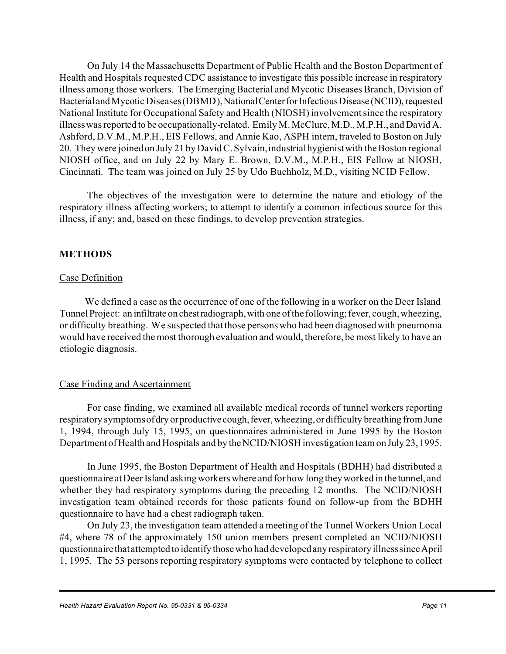On July 14 the Massachusetts Department of Public Health and the Boston Department of Health and Hospitals requested CDC assistance to investigate this possible increase in respiratory illness among those workers. The Emerging Bacterial and Mycotic Diseases Branch, Division of Bacterial and Mycotic Diseases (DBMD), National Center for Infectious Disease (NCID), requested National Institute for Occupational Safety and Health (NIOSH) involvement since the respiratory illnesswasreported to be occupationally-related. EmilyM.McClure,M.D., M.P.H., and David A. Ashford, D.V.M., M.P.H., EIS Fellows, and Annie Kao, ASPH intern, traveled to Boston on July 20. They were joined on July 21 by David C. Sylvain, industrial hygienist with the Boston regional NIOSH office, and on July 22 by Mary E. Brown, D.V.M., M.P.H., EIS Fellow at NIOSH, Cincinnati. The team was joined on July 25 by Udo Buchholz, M.D., visiting NCID Fellow.

The objectives of the investigation were to determine the nature and etiology of the respiratory illness affecting workers; to attempt to identify a common infectious source for this illness, if any; and, based on these findings, to develop prevention strategies.

#### **METHODS**

#### Case Definition

We defined a case as the occurrence of one of the following in a worker on the Deer Island Tunnel Project: an infiltrate on chest radiograph, with one of the following; fever, cough, wheezing, or difficulty breathing. We suspected that those personswho had been diagnosedwith pneumonia would have received the most thorough evaluation and would, therefore, be most likely to have an etiologic diagnosis.

#### Case Finding and Ascertainment

For case finding, we examined all available medical records of tunnel workers reporting respiratory symptoms of dry or productive cough, fever, wheezing, or difficulty breathing from June 1, 1994, through July 15, 1995, on questionnaires administered in June 1995 by the Boston Department of Health and Hospitals and by the NCID/NIOSH investigation team on July 23, 1995.

In June 1995, the Boston Department of Health and Hospitals (BDHH) had distributed a questionnaire at Deer Island asking workers where and for how long they worked in the tunnel, and whether they had respiratory symptoms during the preceding 12 months. The NCID/NIOSH investigation team obtained records for those patients found on follow-up from the BDHH questionnaire to have had a chest radiograph taken.

On July 23, the investigation team attended a meeting of the Tunnel Workers Union Local #4, where 78 of the approximately 150 union members present completed an NCID/NIOSH questionnaire thatattempted to identify thosewho had developedany respiratory illnesssinceApril 1, 1995. The 53 persons reporting respiratory symptoms were contacted by telephone to collect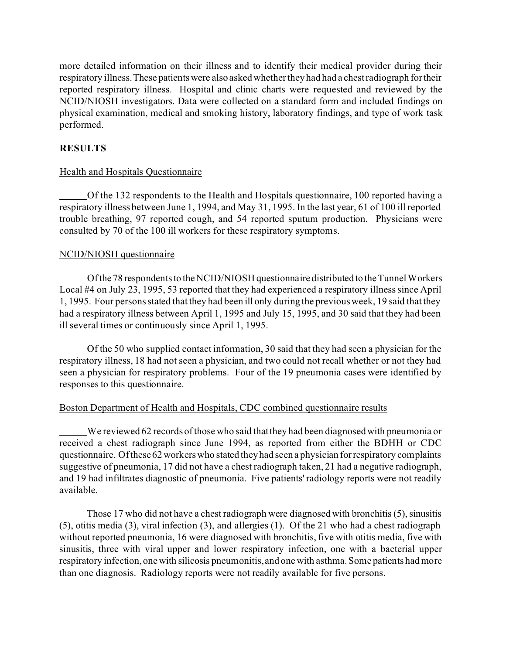more detailed information on their illness and to identify their medical provider during their respiratory illness. These patients were also asked whether they had had a chest radiograph for their reported respiratory illness. Hospital and clinic charts were requested and reviewed by the NCID/NIOSH investigators. Data were collected on a standard form and included findings on physical examination, medical and smoking history, laboratory findings, and type of work task performed.

### **RESULTS**

#### Health and Hospitals Questionnaire

Of the 132 respondents to the Health and Hospitals questionnaire, 100 reported having a respiratory illness between June 1, 1994, and May 31, 1995. In the last year, 61 of 100 ill reported trouble breathing, 97 reported cough, and 54 reported sputum production. Physicians were consulted by 70 of the 100 ill workers for these respiratory symptoms.

#### NCID/NIOSH questionnaire

Of the 78 respondents to the NCID/NIOSH questionnaire distributed to the Tunnel Workers Local #4 on July 23, 1995, 53 reported that they had experienced a respiratory illness since April 1, 1995. Four personsstated that they had been ill only during the previousweek, 19 said that they had a respiratory illness between April 1, 1995 and July 15, 1995, and 30 said that they had been ill several times or continuously since April 1, 1995.

Of the 50 who supplied contact information, 30 said that they had seen a physician for the respiratory illness, 18 had not seen a physician, and two could not recall whether or not they had seen a physician for respiratory problems. Four of the 19 pneumonia cases were identified by responses to this questionnaire.

#### Boston Department of Health and Hospitals, CDC combined questionnaire results

We reviewed 62 records ofthose who said thatthey had been diagnosedwith pneumonia or received a chest radiograph since June 1994, as reported from either the BDHH or CDC questionnaire. Of these 62 workers who stated they had seen a physician for respiratory complaints suggestive of pneumonia, 17 did not have a chest radiograph taken, 21 had a negative radiograph, and 19 had infiltrates diagnostic of pneumonia. Five patients' radiology reports were not readily available.

Those 17 who did not have a chest radiograph were diagnosed with bronchitis (5), sinusitis (5), otitis media (3), viral infection (3), and allergies (1). Of the 21 who had a chest radiograph without reported pneumonia, 16 were diagnosed with bronchitis, five with otitis media, five with sinusitis, three with viral upper and lower respiratory infection, one with a bacterial upper respiratory infection, one with silicosis pneumonitis, and one with asthma. Some patients had more than one diagnosis. Radiology reports were not readily available for five persons.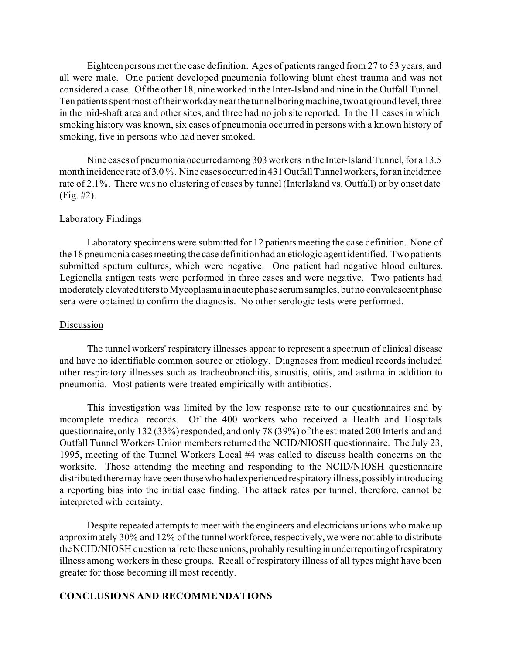Eighteen persons met the case definition. Ages of patients ranged from 27 to 53 years, and all were male. One patient developed pneumonia following blunt chest trauma and was not considered a case. Of the other 18, nine worked in the Inter-Island and nine in the Outfall Tunnel. Ten patients spent most of their workday near the tunnel boring machine, two at ground level, three in the mid-shaft area and other sites, and three had no job site reported. In the 11 cases in which smoking history was known, six cases of pneumonia occurred in persons with a known history of smoking, five in persons who had never smoked.

Nine cases of pneumonia occurred among 303 workers in the Inter-Island Tunnel, for a 13.5 month incidence rate of 3.0%. Nine cases occurred in 431 Outfall Tunnel workers, for an incidence rate of 2.1%. There was no clustering of cases by tunnel (InterIsland vs. Outfall) or by onset date (Fig. #2).

#### Laboratory Findings

Laboratory specimens were submitted for 12 patients meeting the case definition. None of the 18 pneumonia cases meeting the case definition had an etiologic agent identified. Two patients submitted sputum cultures, which were negative. One patient had negative blood cultures. Legionella antigen tests were performed in three cases and were negative. Two patients had moderately elevated titers to Mycoplasma in acute phase serum samples, but no convalescent phase sera were obtained to confirm the diagnosis. No other serologic tests were performed.

#### **Discussion**

The tunnel workers' respiratory illnesses appear to represent a spectrum of clinical disease and have no identifiable common source or etiology. Diagnoses from medical records included other respiratory illnesses such as tracheobronchitis, sinusitis, otitis, and asthma in addition to pneumonia. Most patients were treated empirically with antibiotics.

This investigation was limited by the low response rate to our questionnaires and by incomplete medical records. Of the 400 workers who received a Health and Hospitals questionnaire, only 132 (33%) responded, and only 78 (39%) of the estimated 200 InterIsland and Outfall Tunnel Workers Union members returned the NCID/NIOSH questionnaire. The July 23, 1995, meeting of the Tunnel Workers Local #4 was called to discuss health concerns on the worksite. Those attending the meeting and responding to the NCID/NIOSH questionnaire distributed there may have been those who had experienced respiratory illness, possibly introducing a reporting bias into the initial case finding. The attack rates per tunnel, therefore, cannot be interpreted with certainty.

Despite repeated attempts to meet with the engineers and electricians unions who make up approximately 30% and 12% of the tunnel workforce, respectively, we were not able to distribute the NCID/NIOSH questionnaire to these unions, probably resulting in underreporting of respiratory illness among workers in these groups. Recall of respiratory illness of all types might have been greater for those becoming ill most recently.

#### **CONCLUSIONS AND RECOMMENDATIONS**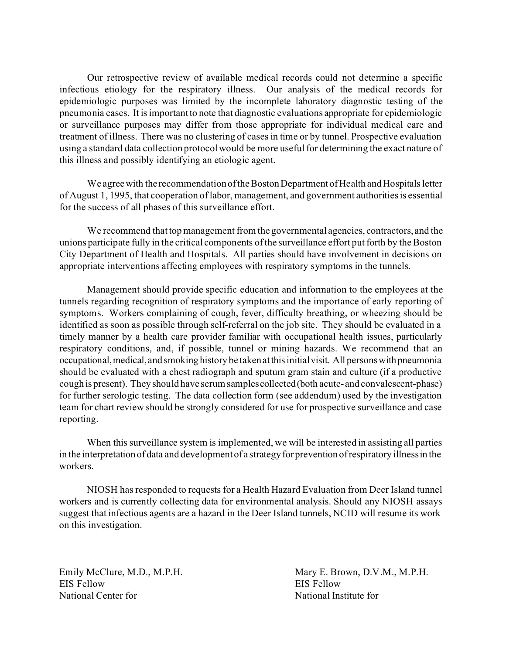Our retrospective review of available medical records could not determine a specific infectious etiology for the respiratory illness. Our analysis of the medical records for epidemiologic purposes was limited by the incomplete laboratory diagnostic testing of the pneumonia cases. It isimportantto note that diagnostic evaluations appropriate for epidemiologic or surveillance purposes may differ from those appropriate for individual medical care and treatment of illness. There was no clustering of casesin time or by tunnel. Prospective evaluation using a standard data collection protocol would be more useful for determining the exact nature of this illness and possibly identifying an etiologic agent.

We agree with the recommendation of the Boston Department of Health and Hospitals letter of August 1, 1995, that cooperation of labor, management, and government authoritiesis essential for the success of all phases of this surveillance effort.

We recommend that top management from the governmental agencies, contractors, and the unions participate fully in the critical components of the surveillance effort put forth by the Boston City Department of Health and Hospitals. All parties should have involvement in decisions on appropriate interventions affecting employees with respiratory symptoms in the tunnels.

Management should provide specific education and information to the employees at the tunnels regarding recognition of respiratory symptoms and the importance of early reporting of symptoms. Workers complaining of cough, fever, difficulty breathing, or wheezing should be identified as soon as possible through self-referral on the job site. They should be evaluated in a timely manner by a health care provider familiar with occupational health issues, particularly respiratory conditions, and, if possible, tunnel or mining hazards. We recommend that an occupational,medical, and smoking history be takenatthisinitialvisit. All personswithpneumonia should be evaluated with a chest radiograph and sputum gram stain and culture (if a productive cough is present). They should have serumsamplescollected(both acute-and convalescent-phase) for further serologic testing. The data collection form (see addendum) used by the investigation team for chart review should be strongly considered for use for prospective surveillance and case reporting.

When this surveillance system is implemented, we will be interested in assisting all parties in the interpretation of data and development of a strategy for prevention of respiratory illness in the workers.

NIOSH has responded to requests for a Health Hazard Evaluation from Deer Island tunnel workers and is currently collecting data for environmental analysis. Should any NIOSH assays suggest that infectious agents are a hazard in the Deer Island tunnels, NCID will resume its work on this investigation.

EIS Fellow EIS Fellow National Center for National Institute for

Emily McClure, M.D., M.P.H. Mary E. Brown, D.V.M., M.P.H.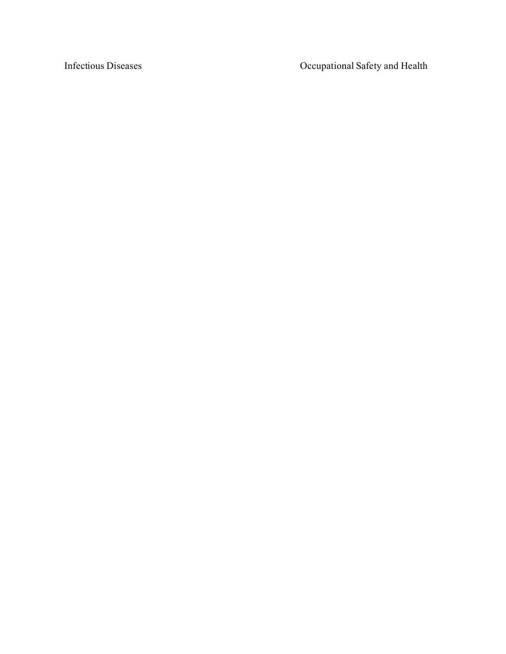Infectious Diseases **Infectious Diseases** Occupational Safety and Health